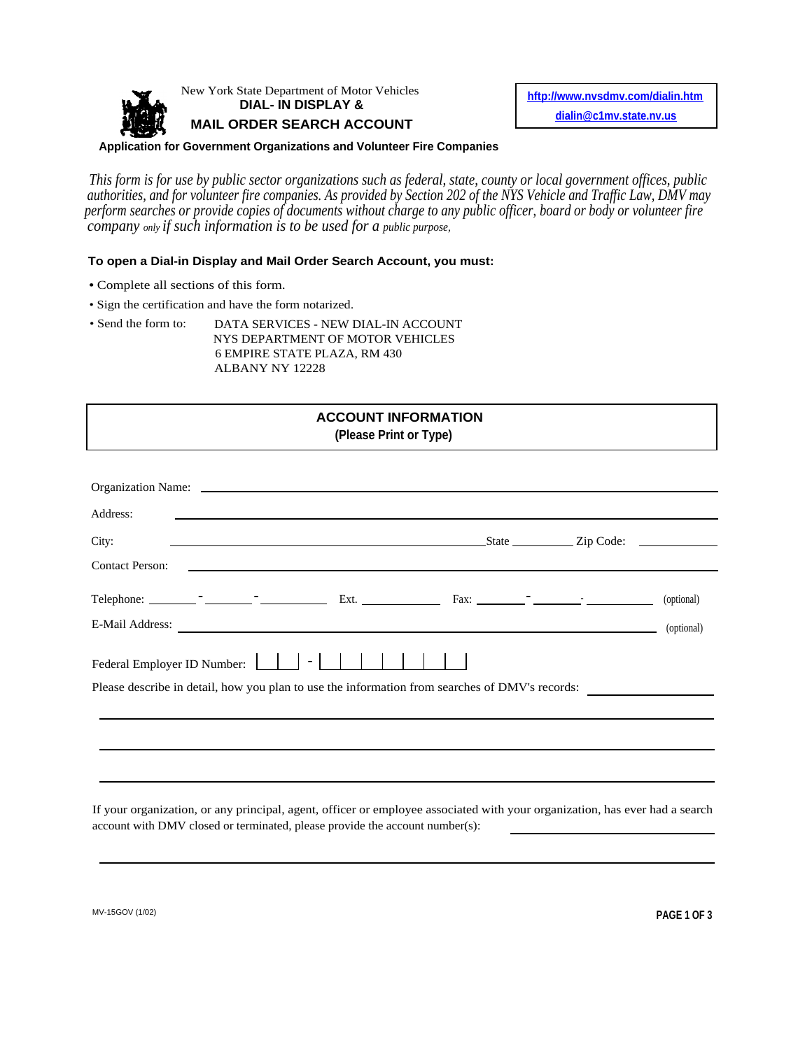

New York State Department of Motor Vehicles

**MAIL ORDER SEARCH ACCOUNT** 

State Department of Motor Vehicles<br> **DIAL- IN DISPLAY & http://www.nvsdmv.com/dialin.htm**<br> **http://www.nvsdmv.com/dialin.htm**<br>
<u>dialin@c1mv.state.nv.us</u>

## **Application for Government Organizations and Volunteer Fire Companies**

*This form is for use by public sector organizations such as federal, state, county or local government offices, public authorities, and for volunteer fire companies. As provided by Section 202 of the NYS Vehicle and Traffic Law, DMV may perform searches or provide copies of documents without charge to any public officer, board or body or volunteer fire company only if such information is to be used for a public purpose,*

## **To open a Dial-in Display and Mail Order Search Account, you must:**

- Complete all sections of this form.
- Sign the certification and have the form notarized.
- Send the form to: DATA SERVICES NEW DIAL-IN ACCOUNT NYS DEPARTMENT OF MOTOR VEHICLES 6 EMPIRE STATE PLAZA, RM 430 ALBANY NY 12228

## **ACCOUNT INFORMATION (Please Print or Type)**

| Address:               |  | <u> 1980 - Antonio Alemania, presidente de la contrada de la contrada de la contrada de la contrada de la contrad</u>       |  |            |
|------------------------|--|-----------------------------------------------------------------------------------------------------------------------------|--|------------|
| City:                  |  | State <u>Constantine and State State Code:</u>                                                                              |  |            |
| <b>Contact Person:</b> |  | <u> 1990 - Jan James James Barnett, amerikan bahasa personal di sebagai personal di sebagai personal di sebagai p</u>       |  |            |
|                        |  |                                                                                                                             |  | (optional) |
|                        |  | E-Mail Address:                                                                                                             |  | (optional) |
|                        |  | Please describe in detail, how you plan to use the information from searches of DMV's records:                              |  |            |
|                        |  |                                                                                                                             |  |            |
|                        |  |                                                                                                                             |  |            |
|                        |  |                                                                                                                             |  |            |
|                        |  | If your organization, or any principal, agent, officer or employee associated with your organization, has ever had a search |  |            |

account with DMV closed or terminated, please provide the account number(s):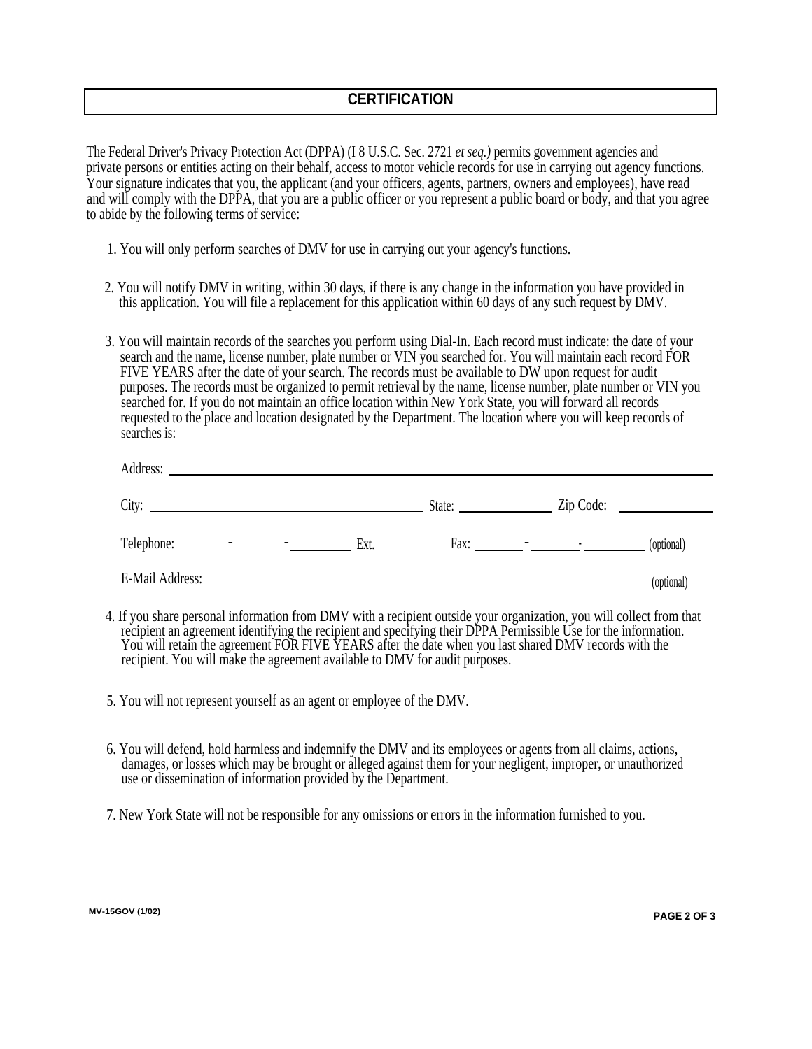The Federal Driver's Privacy Protection Act (DPPA) (I 8 U.S.C. Sec. 2721 *et seq.)* permits government agencies and private persons or entities acting on their behalf, access to motor vehicle records for use in carrying out agency functions. Your signature indicates that you, the applicant (and your officers, agents, partners, owners and employees), have read and will comply with the DPPA, that you are a public officer or you represent a public board or body, and that you agree to abide by the following terms of service:

- 1. You will only perform searches of DMV for use in carrying out your agency's functions.
- 2. You will notify DMV in writing, within 30 days, if there is any change in the information you have provided in this application. You will file a replacement for this application within 60 days of any such request by DMV.
- 3. You will maintain records of the searches you perform using Dial-In. Each record must indicate: the date of your search and the name, license number, plate number or VIN you searched for. You will maintain each record FOR FIVE YEARS after the date of your search. The records must be available to DW upon request for audit purposes. The records must be organized to permit retrieval by the name, license number, plate number or VIN you searched for. If you do not maintain an office location within New York State, you will forward all records requested to the place and location designated by the Department. The location where you will keep records of searches is:

| Address:                                                                                                                                                                                                                                                                                                                                                                                   |                                |
|--------------------------------------------------------------------------------------------------------------------------------------------------------------------------------------------------------------------------------------------------------------------------------------------------------------------------------------------------------------------------------------------|--------------------------------|
| City:<br><u> 1989 - Johann Harry Harry Harry Harry Harry Harry Harry Harry Harry Harry Harry Harry Harry Harry Harry Harry</u>                                                                                                                                                                                                                                                             | $\mathsf{Zip Code:}$<br>State: |
| $Telephone:$ $\qquad \qquad$ $\qquad \qquad$ $\qquad \qquad$ $\qquad \qquad$ $\qquad \qquad$ $\qquad \qquad$ $\qquad \qquad$ $\qquad \qquad$ $\qquad \qquad$ $\qquad \qquad$ $\qquad \qquad$ $\qquad \qquad$ $\qquad$ $\qquad \qquad$ $\qquad \qquad$ $\qquad \qquad$ $\qquad \qquad$ $\qquad$ $\qquad \qquad$ $\qquad$ $\qquad$ $\qquad$ $\qquad$ $\qquad$ $\qquad$ $\qquad$ $\qquad$ $\$ | Ext.<br>(optional)             |
| E-Mail Address:                                                                                                                                                                                                                                                                                                                                                                            | (optional)                     |

- 4. If you share personal information from DMV with a recipient outside your organization, you will collect from that recipient an agreement identifying the recipient and specifying their DPPA Permissible Use for the information. You will retain the agreement FOR FIVE YEARS after the date when you last shared DMV records with the recipient. You will make the agreement available to DMV for audit purposes.
- 5. You will not represent yourself as an agent or employee of the DMV.
- 6. You will defend, hold harmless and indemnify the DMV and its employees or agents from all claims, actions, damages, or losses which may be brought or alleged against them for your negligent, improper, or unauthorized use or dissemination of information provided by the Department.
- 7. New York State will not be responsible for any omissions or errors in the information furnished to you.